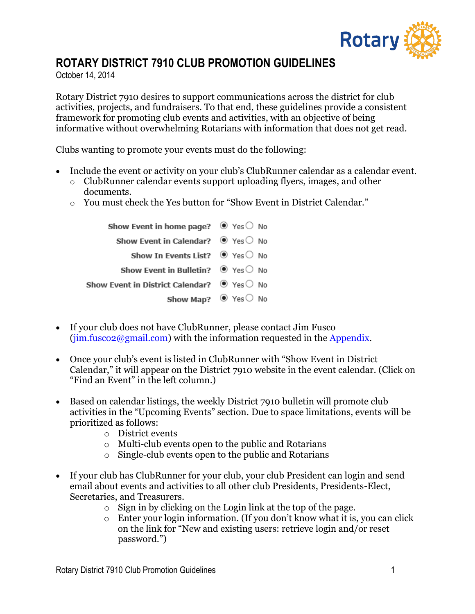

## **ROTARY DISTRICT 7910 CLUB PROMOTION GUIDELINES**

October 14, 2014

Rotary District 7910 desires to support communications across the district for club activities, projects, and fundraisers. To that end, these guidelines provide a consistent framework for promoting club events and activities, with an objective of being informative without overwhelming Rotarians with information that does not get read.

Clubs wanting to promote your events must do the following:

- Include the event or activity on your club's ClubRunner calendar as a calendar event.
	- o ClubRunner calendar events support uploading flyers, images, and other documents.
	- o You must check the Yes button for "Show Event in District Calendar."

| Show Event in home page? $\bullet$ Yes $\circ$ No         |                                    |
|-----------------------------------------------------------|------------------------------------|
| Show Event in Calendar? $\bullet$ Yes $\circ$ No          |                                    |
| Show In Events List? $\bullet$ Yes $\circ$ No             |                                    |
| Show Event in Bulletin? $\bullet$ Yes $\circ$ No          |                                    |
| Show Event in District Calendar? $\bullet$ Yes $\circ$ No |                                    |
|                                                           | Show Map? $\bullet$ Yes $\circ$ No |

- If your club does not have ClubRunner, please contact Jim Fusco  $(iim.fusco2@gmail.com)$  with the information requested in the [Appendix.](#page-4-0)
- Once your club's event is listed in ClubRunner with "Show Event in District Calendar," it will appear on the District 7910 website in the event calendar. (Click on "Find an Event" in the left column.)
- Based on calendar listings, the weekly District 7910 bulletin will promote club activities in the "Upcoming Events" section. Due to space limitations, events will be prioritized as follows:
	- o District events
	- o Multi-club events open to the public and Rotarians
	- o Single-club events open to the public and Rotarians
- If your club has ClubRunner for your club, your club President can login and send email about events and activities to all other club Presidents, Presidents-Elect, Secretaries, and Treasurers.
	- o Sign in by clicking on the Login link at the top of the page.
	- o Enter your login information. (If you don't know what it is, you can click on the link for "New and existing users: retrieve login and/or reset password.")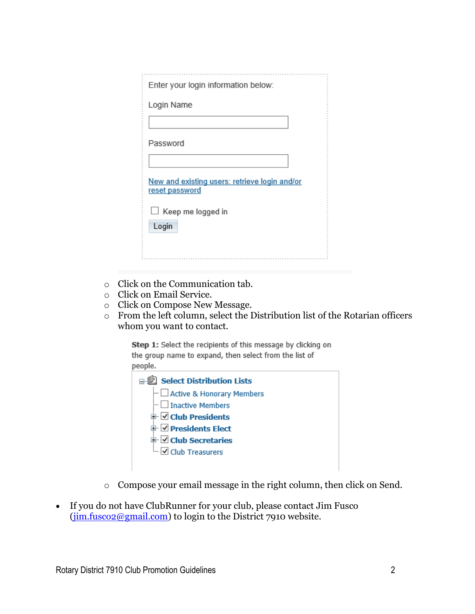| Enter your login information below:                             |
|-----------------------------------------------------------------|
| Login Name                                                      |
|                                                                 |
| Password                                                        |
|                                                                 |
| New and existing users: retrieve login and/or<br>reset password |
| $\Box$ Keep me logged in                                        |
| Login                                                           |
|                                                                 |

- o Click on the Communication tab.
- o Click on Email Service.
- o Click on Compose New Message.
- o From the left column, select the Distribution list of the Rotarian officers whom you want to contact.

Step 1: Select the recipients of this message by clicking on the group name to expand, then select from the list of people.

| conc.                          |  |
|--------------------------------|--|
| 日 起 Select Distribution Lists  |  |
| - Active & Honorary Members    |  |
| $\vdash \Box$ Inactive Members |  |
| <b>□ ○ Club Presidents</b>     |  |
| <b>D</b> Presidents Elect      |  |
| □ Club Secretaries             |  |
| <b>E</b> Club Treasurers       |  |
|                                |  |

- o Compose your email message in the right column, then click on Send.
- If you do not have ClubRunner for your club, please contact Jim Fusco [\(jim.fusco2@gmail.com\)](mailto:jim.fusco2@gmail.com) to login to the District 7910 website.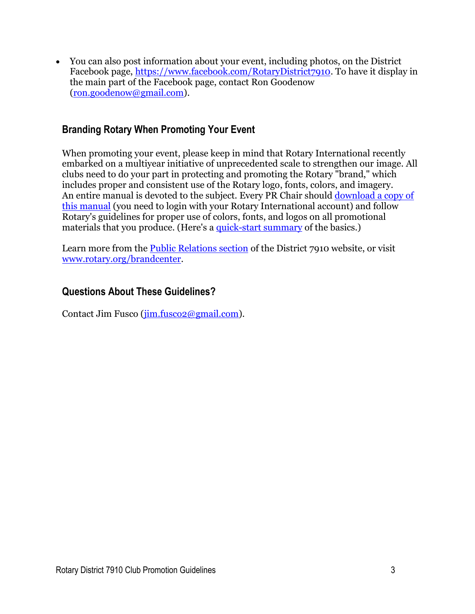You can also post information about your event, including photos, on the District Facebook page, [https://www.facebook.com/RotaryDistrict7910.](https://www.facebook.com/RotaryDistrict7910) To have it display in the main part of the Facebook page, contact Ron Goodenow [\(ron.goodenow@gmail.com\)](mailto:ron.goodenow@gmail.com).

### **Branding Rotary When Promoting Your Event**

When promoting your event, please keep in mind that Rotary International recently embarked on a multiyear initiative of unprecedented scale to strengthen our image. All clubs need to do your part in protecting and promoting the Rotary "brand," which includes proper and consistent use of the Rotary logo, fonts, colors, and imagery. An entire manual is devoted to the subject. Every PR Chair should download a copy of [this manual](https://www.rotary.org/myrotary/en/document/851) (you need to login with your Rotary International account) and follow Rotary's guidelines for proper use of colors, fonts, and logos on all promotional materials that you produce. (Here's a [quick-start summary](http://rotary7910.org/Documents/en-ca/6673b3e9-baca-415e-aea1-61687a7f74ae/1) of the basics.)

Learn more from the [Public Relations](http://rotary7910.org/sitepage/public-relations/public-relations-overview/) section of the District 7910 website, or visit [www.rotary.org/brandcenter.](http://www.rotary.org/brandcenter)

#### **Questions About These Guidelines?**

Contact Jim Fusco [\(jim.fusco2@gmail.com\)](mailto:jim.fusco2@gmail.com).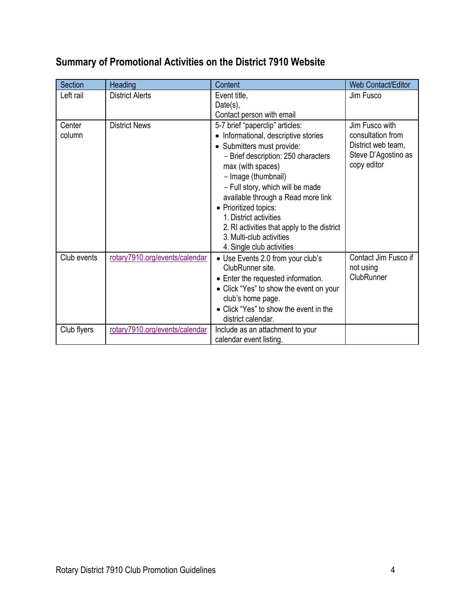| <b>Section</b>   | Heading                        | Content                                                                                                                                                                                                                                                                                                                                                                                                                     | <b>Web Contact/Editor</b>                                                                       |
|------------------|--------------------------------|-----------------------------------------------------------------------------------------------------------------------------------------------------------------------------------------------------------------------------------------------------------------------------------------------------------------------------------------------------------------------------------------------------------------------------|-------------------------------------------------------------------------------------------------|
| Left rail        | <b>District Alerts</b>         | Event title,<br>Date(s),                                                                                                                                                                                                                                                                                                                                                                                                    | Jim Fusco                                                                                       |
|                  |                                | Contact person with email                                                                                                                                                                                                                                                                                                                                                                                                   |                                                                                                 |
| Center<br>column | <b>District News</b>           | 5-7 brief "paperclip" articles:<br>Informational, descriptive stories<br>• Submitters must provide:<br>- Brief description: 250 characters<br>max (with spaces)<br>- Image (thumbnail)<br>- Full story, which will be made<br>available through a Read more link<br>• Prioritized topics:<br>1. District activities<br>2. RI activities that apply to the district<br>3. Multi-club activities<br>4. Single club activities | Jim Fusco with<br>consultation from<br>District web team,<br>Steve D'Agostino as<br>copy editor |
| Club events      | rotary7910.org/events/calendar | • Use Events 2.0 from your club's                                                                                                                                                                                                                                                                                                                                                                                           | Contact Jim Fusco if                                                                            |
|                  |                                | ClubRunner site.<br>• Enter the requested information.<br>• Click "Yes" to show the event on your<br>club's home page.<br>• Click "Yes" to show the event in the<br>district calendar.                                                                                                                                                                                                                                      | not using<br>ClubRunner                                                                         |
| Club flyers      | rotary7910.org/events/calendar | Include as an attachment to your<br>calendar event listing.                                                                                                                                                                                                                                                                                                                                                                 |                                                                                                 |

# **Summary of Promotional Activities on the District 7910 Website**